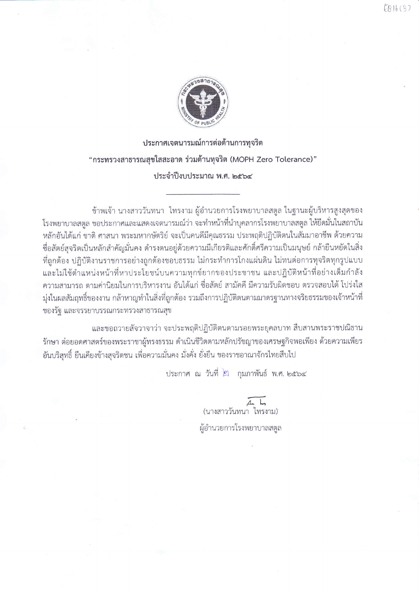

ประกาศเจตนารมณ์การต่อต้านการทุจริต "กระทรวงสาธารณสุขใสสะอาด ร่วมต้านทุจริต (MOPH Zero Tolerance)" ประจำปีงบประมาณ พ.ศ. ๒๕๖๔

ข้าพเจ้า นางสาววันทนา ไทรงาม ผู้อำนวยการโรงพยาบาลสตูล ในฐานะผู้บริหารสูงสุดของ โรงพยาบาลสตูล ขอประกาศและแสดงเจตนารมณ์ว่า จะทำหน้าที่นำบุคลากรโรงพยาบาลสตูล ให้ยึดมั่นในสถาบัน หลักอันได้แก่ ชาติ ศาสนา พระมหากษัตริย์ จะเป็นคนดีมีคุณธรรม ประพฤติปฏิบัติตนในสัมมาอาชีพ ด้วยความ ชื่อสัตย์สุจริตเป็นหลักสำคัญมั่นคง ดำรงตนอยู่ด้วยความมีเกียรติและศักดิ์ศรีความเป็นมนุษย์ กล้ายืนหยัดในสิ่ง ที่ถูกต้อง ปฏิบัติงานราชการอย่างถูกต้องชอบธรรม ไม่กระทำการโกงแผ่นดิน ไม่ทนต่อการทุจริตทุกรูปแบบ และไม่ใช้ตำแหน่งหน้าที่หาประโยชน์บนความทุกข์ยากของประชาชน และปฏิบัติหน้าที่อย่างเต็มกำลัง ้ความสามารถ ตามค่านิยมในการบริหารงาน อันได้แก่ ชื่อสัตย์ สามัคคี มีความรับผิดชอบ ตรวจสอบได้ โปร่งใส ้มุ่งในผลสัมฤทธิ์ของงาน กล้าหาญทำในสิ่งที่ถูกต้อง รวมถึงการปฏิบัติตนตามมาตรฐานทางจริยธรรมของเจ้าหน้าที่ ของรัฐ และจรรยาบรรณกระทรวงสาธารณสุข

และขอถวายสัจวาจาว่า จะประพฤติปฏิบัติตนตามรอยพระยุคลบาท สืบสานพระราชปณิธาน รักษา ต่อยอดศาสตร์ของพระราชาผู้ทรงธรรม ดำเนินชีวิตตามหลักปรัชญาของเศรษฐกิจพอเพียง ด้วยความเพียร ้อันบริสุทธิ์ ยืนเคียงข้างสุจริตชน เพื่อความมั่นคง มั่งคั่ง ยั่งยืน ของราชอาณาจักรไทยสืบไป

ประกาศ ณ วันที่ ๒ กุมภาพันธ์ พ.ศ. ๒๕๖๔

ี่ 4 4 4 สี<br>(นางสาววันทนา ไทรงาม) ผู้อำนวยการโรงพยาบาลสตูล